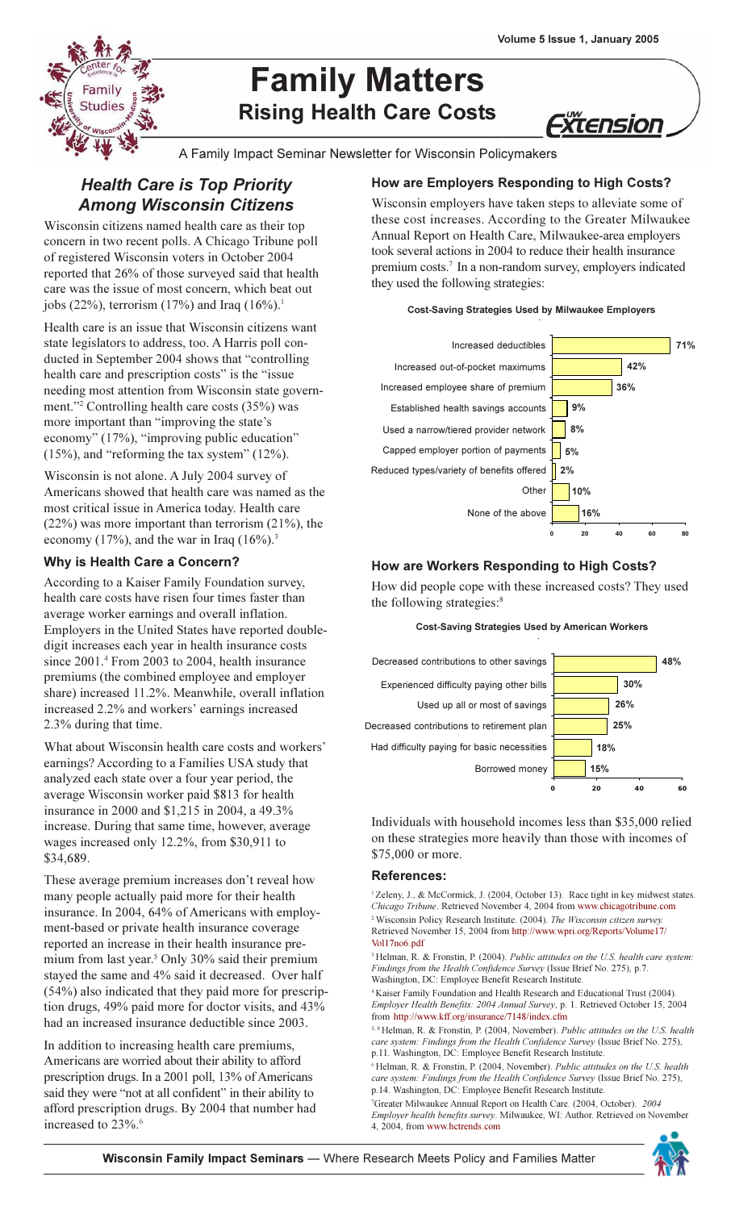

# **Family Matters Rising Health Care Costs**

*Xtension* 

A Family Impact Seminar Newsletter for Wisconsin Policymakers

# **Health Care is Top Priority Among Wisconsin Citizens**

Wisconsin citizens named health care as their top concern in two recent polls. A Chicago Tribune poll of registered Wisconsin voters in October 2004 reported that 26% of those surveyed said that health care was the issue of most concern, which beat out jobs (22%), terrorism (17%) and Iraq (16%).<sup>1</sup>

Health care is an issue that Wisconsin citizens want state legislators to address, too. A Harris poll conducted in September 2004 shows that "controlling" health care and prescription costs" is the "issue needing most attention from Wisconsin state government."<sup>2</sup> Controlling health care costs (35%) was more important than "improving the state's economy" (17%), "improving public education"  $(15\%)$ , and "reforming the tax system"  $(12\%)$ .

Wisconsin is not alone. A July 2004 survey of Americans showed that health care was named as the most critical issue in America today. Health care  $(22%)$  was more important than terrorism  $(21%)$ , the economy (17%), and the war in Iraq  $(16\%)$ .<sup>3</sup>

### Why is Health Care a Concern?

According to a Kaiser Family Foundation survey, health care costs have risen four times faster than average worker earnings and overall inflation. Employers in the United States have reported doubledigit increases each year in health insurance costs since 2001.<sup>4</sup> From 2003 to 2004, health insurance premiums (the combined employee and employer share) increased 11.2%. Meanwhile, overall inflation increased 2.2% and workers' earnings increased 2.3% during that time.

What about Wisconsin health care costs and workers' earnings? According to a Families USA study that analyzed each state over a four year period, the average Wisconsin worker paid \$813 for health insurance in 2000 and \$1,215 in 2004, a 49.3% increase. During that same time, however, average wages increased only 12.2%, from \$30,911 to \$34,689.

These average premium increases don't reveal how many people actually paid more for their health insurance. In 2004, 64% of Americans with employment-based or private health insurance coverage reported an increase in their health insurance premium from last year.<sup>5</sup> Only 30% said their premium stayed the same and 4% said it decreased. Over half (54%) also indicated that they paid more for prescription drugs, 49% paid more for doctor visits, and 43% had an increased insurance deductible since 2003.

In addition to increasing health care premiums, Americans are worried about their ability to afford prescription drugs. In a 2001 poll, 13% of Americans said they were "not at all confident" in their ability to afford prescription drugs. By 2004 that number had increased to 23%.<sup>6</sup>

## How are Employers Responding to High Costs?

Wisconsin employers have taken steps to alleviate some of these cost increases. According to the Greater Milwaukee Annual Report on Health Care, Milwaukee-area employers took several actions in 2004 to reduce their health insurance premium costs.<sup>7</sup> In a non-random survey, employers indicated they used the following strategies:

#### **Cost-Saving Strategies Used by Milwaukee Employers**



### How are Workers Responding to High Costs?

How did people cope with these increased costs? They used the following strategies:<sup>8</sup>

#### **Cost-Saving Strategies Used by American Workers**



Individuals with household incomes less than \$35,000 relied on these strategies more heavily than those with incomes of \$75,000 or more.

#### **References:**

<sup>1</sup>Zeleny, J., & McCormick, J. (2004, October 13). Race tight in key midwest states. Chicago Tribune. Retrieved November 4, 2004 from www.chicagotribune.com <sup>2</sup> Wisconsin Policy Research Institute. (2004). The Wisconsin citizen survey Retrieved November 15, 2004 from http://www.wpri.org/Reports/Volume17/ Vol17no6.pdf

<sup>3</sup> Helman, R. & Fronstin, P. (2004). Public attitudes on the U.S. health care system: Findings from the Health Confidence Survey (Issue Brief No. 275), p.7. Washington, DC: Employee Benefit Research Institute.

<sup>4</sup> Kaiser Family Foundation and Health Research and Educational Trust (2004). Employer Health Benefits: 2004 Annual Survey, p. 1. Retrieved October 15, 2004 from http://www.kff.org/insurance/7148/index.cfm

<sup>5, 8</sup> Helman, R. & Fronstin, P. (2004, November). Public attitudes on the U.S. health care system: Findings from the Health Confidence Survey (Issue Brief No. 275), p.11. Washington, DC: Employee Benefit Research Institute.

<sup>6</sup> Helman, R. & Fronstin, P. (2004, November). Public attitudes on the U.S. health care system: Findings from the Health Confidence Survey (Issue Brief No. 275). p.14. Washington, DC: Employee Benefit Research Institute.

<sup>7</sup>Greater Milwaukee Annual Report on Health Care. (2004, October). 2004 Employer health benefits survey. Milwaukee, WI: Author. Retrieved on November 4. 2004. from www.hctrends.com